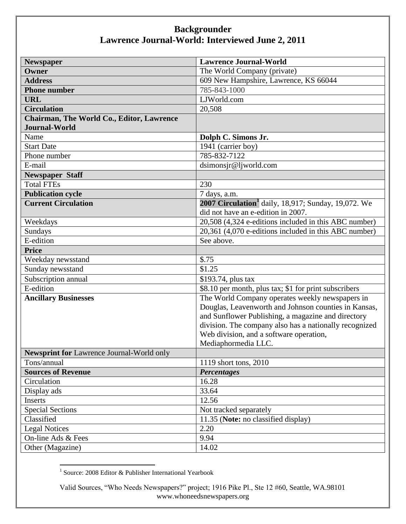| <b>Newspaper</b>                          | <b>Lawrence Journal-World</b>                             |
|-------------------------------------------|-----------------------------------------------------------|
| Owner                                     | The World Company (private)                               |
| <b>Address</b>                            | 609 New Hampshire, Lawrence, KS 66044                     |
| <b>Phone number</b>                       | 785-843-1000                                              |
| <b>URL</b>                                | LJWorld.com                                               |
| <b>Circulation</b>                        | 20,508                                                    |
| Chairman, The World Co., Editor, Lawrence |                                                           |
| <b>Journal-World</b>                      |                                                           |
| Name                                      | Dolph C. Simons Jr.                                       |
| <b>Start Date</b>                         | 1941 (carrier boy)                                        |
| Phone number                              | 785-832-7122                                              |
| E-mail                                    | dsimonsjr@ljworld.com                                     |
| <b>Newspaper Staff</b>                    |                                                           |
| <b>Total FTEs</b>                         | 230                                                       |
| <b>Publication cycle</b>                  | 7 days, a.m.                                              |
| <b>Current Circulation</b>                | <b>2007 Circulation</b> daily, 18,917; Sunday, 19,072. We |
|                                           | did not have an e-edition in 2007.                        |
| Weekdays                                  | 20,508 (4,324 e-editions included in this ABC number)     |
| Sundays                                   | 20,361 (4,070 e-editions included in this ABC number)     |
| $E$ -edition                              | See above.                                                |
| <b>Price</b>                              |                                                           |
| Weekday newsstand                         | \$.75                                                     |
| Sunday newsstand                          | $\overline{$1.25}$                                        |
| Subscription annual                       | \$193.74, plus tax                                        |
| E-edition                                 | \$8.10 per month, plus tax; \$1 for print subscribers     |
| <b>Ancillary Businesses</b>               | The World Company operates weekly newspapers in           |
|                                           | Douglas, Leavenworth and Johnson counties in Kansas,      |
|                                           | and Sunflower Publishing, a magazine and directory        |
|                                           | division. The company also has a nationally recognized    |
|                                           | Web division, and a software operation,                   |
|                                           | Mediaphormedia LLC.                                       |
| Newsprint for Lawrence Journal-World only |                                                           |
| Tons/annual                               | 1119 short tons, 2010                                     |
| <b>Sources of Revenue</b>                 | <b>Percentages</b>                                        |
| Circulation                               | 16.28                                                     |
| Display ads                               | 33.64                                                     |
| Inserts                                   | 12.56                                                     |
| <b>Special Sections</b>                   | Not tracked separately                                    |
| Classified                                | 11.35 (Note: no classified display)                       |
| <b>Legal Notices</b>                      | 2.20                                                      |
| On-line Ads & Fees                        | 9.94                                                      |
| Other (Magazine)                          | 14.02                                                     |

 1 Source: 2008 Editor & Publisher International Yearbook

Valid Sources, "Who Needs Newspapers?" project; 1916 Pike Pl., Ste 12 #60, Seattle, WA.98101 www.whoneedsnewspapers.org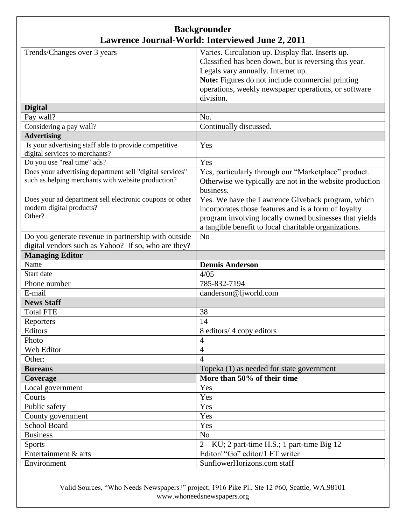| Trends/Changes over 3 years                                                             | Varies. Circulation up. Display flat. Inserts up.              |
|-----------------------------------------------------------------------------------------|----------------------------------------------------------------|
|                                                                                         | Classified has been down, but is reversing this year.          |
|                                                                                         | Legals vary annually. Internet up.                             |
|                                                                                         | Note: Figures do not include commercial printing               |
|                                                                                         | operations, weekly newspaper operations, or software           |
|                                                                                         | division.                                                      |
| <b>Digital</b>                                                                          |                                                                |
| Pay wall?                                                                               | No.                                                            |
| Considering a pay wall?                                                                 | Continually discussed.                                         |
| <b>Advertising</b>                                                                      |                                                                |
| Is your advertising staff able to provide competitive<br>digital services to merchants? | Yes                                                            |
| Do you use "real time" ads?                                                             | Yes                                                            |
| Does your advertising department sell "digital services"                                | Yes, particularly through our "Marketplace" product.           |
| such as helping merchants with website production?                                      | Otherwise we typically are not in the website production       |
|                                                                                         | business.                                                      |
| Does your ad department sell electronic coupons or other                                | Yes. We have the Lawrence Giveback program, which              |
| modern digital products?                                                                | incorporates those features and is a form of loyalty           |
| Other?                                                                                  | program involving locally owned businesses that yields         |
|                                                                                         | a tangible benefit to local charitable organizations.          |
| Do you generate revenue in partnership with outside                                     | N <sub>o</sub>                                                 |
| digital vendors such as Yahoo? If so, who are they?                                     |                                                                |
| <b>Managing Editor</b>                                                                  |                                                                |
|                                                                                         |                                                                |
| Name                                                                                    | <b>Dennis Anderson</b>                                         |
| Start date                                                                              | 4/05                                                           |
| Phone number                                                                            | 785-832-7194                                                   |
| E-mail                                                                                  | danderson@ljworld.com                                          |
| <b>News Staff</b>                                                                       |                                                                |
| <b>Total FTE</b>                                                                        | 38                                                             |
| Reporters                                                                               | 14                                                             |
| Editors                                                                                 | 8 editors/ 4 copy editors                                      |
| Photo                                                                                   | $\overline{4}$                                                 |
| Web Editor                                                                              | $\overline{4}$                                                 |
| Other:                                                                                  | $\overline{4}$                                                 |
| <b>Bureaus</b>                                                                          | Topeka (1) as needed for state government                      |
| Coverage                                                                                | More than 50% of their time                                    |
| Local government                                                                        | Yes                                                            |
| Courts                                                                                  | Yes                                                            |
| Public safety                                                                           | Yes                                                            |
| County government                                                                       | Yes                                                            |
| School Board                                                                            | Yes                                                            |
| <b>Business</b>                                                                         | N <sub>o</sub>                                                 |
| <b>Sports</b>                                                                           | $2 - KU$ ; 2 part-time H.S.; 1 part-time Big 12                |
| Entertainment & arts<br>Environment                                                     | Editor/ "Go" editor/1 FT writer<br>SunflowerHorizons.com staff |

Valid Sources, "Who Needs Newspapers?" project; 1916 Pike Pl., Ste 12 #60, Seattle, WA.98101 www.whoneedsnewspapers.org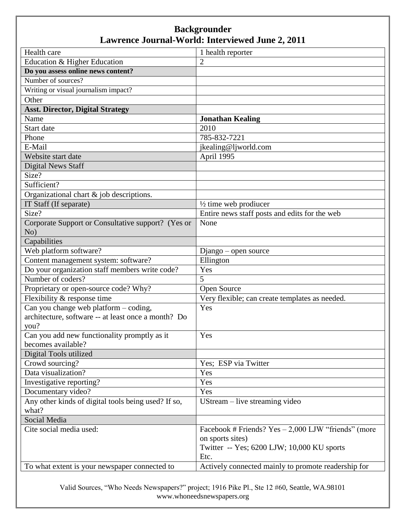| Health care                                         | 1 health reporter                                     |
|-----------------------------------------------------|-------------------------------------------------------|
| Education & Higher Education                        | $\overline{c}$                                        |
| Do you assess online news content?                  |                                                       |
| Number of sources?                                  |                                                       |
| Writing or visual journalism impact?                |                                                       |
| Other                                               |                                                       |
| <b>Asst. Director, Digital Strategy</b>             |                                                       |
| Name                                                | <b>Jonathan Kealing</b>                               |
| Start date                                          | 2010                                                  |
| Phone                                               | 785-832-7221                                          |
| E-Mail                                              | jkealing@ljworld.com                                  |
| Website start date                                  | April 1995                                            |
| <b>Digital News Staff</b>                           |                                                       |
| Size?                                               |                                                       |
| Sufficient?                                         |                                                       |
| Organizational chart $\&$ job descriptions.         |                                                       |
| IT Staff (If separate)                              | $\frac{1}{2}$ time web prodiucer                      |
| Size?                                               | Entire news staff posts and edits for the web         |
| Corporate Support or Consultative support? (Yes or  | None                                                  |
| No)                                                 |                                                       |
| Capabilities                                        |                                                       |
| Web platform software?                              | Django – open source                                  |
| Content management system: software?                | Ellington                                             |
| Do your organization staff members write code?      | Yes                                                   |
| Number of coders?                                   | 5                                                     |
| Proprietary or open-source code? Why?               | Open Source                                           |
| Flexibility & response time                         | Very flexible; can create templates as needed.        |
| Can you change web platform - coding,               | Yes                                                   |
| architecture, software -- at least once a month? Do |                                                       |
| you?                                                |                                                       |
| Can you add new functionality promptly as it        | Yes                                                   |
| becomes available?                                  |                                                       |
| Digital Tools utilized                              |                                                       |
| Crowd sourcing?                                     | Yes; ESP via Twitter                                  |
| Data visualization?                                 | Yes                                                   |
| Investigative reporting?                            | Yes                                                   |
| Documentary video?                                  | Yes                                                   |
| Any other kinds of digital tools being used? If so, | UStream – live streaming video                        |
| what?                                               |                                                       |
| Social Media                                        |                                                       |
| Cite social media used:                             | Facebook # Friends? $Yes - 2,000$ LJW "friends" (more |
|                                                     | on sports sites)                                      |
|                                                     | Twitter -- Yes; 6200 LJW; 10,000 KU sports            |
|                                                     | Etc.                                                  |
| To what extent is your newspaper connected to       | Actively connected mainly to promote readership for   |

Valid Sources, "Who Needs Newspapers?" project; 1916 Pike Pl., Ste 12 #60, Seattle, WA.98101 www.whoneedsnewspapers.org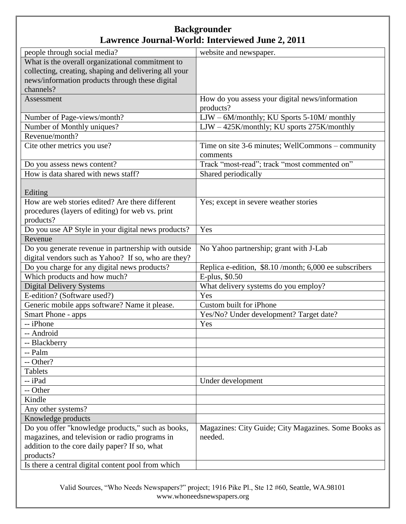| people through social media?                          | website and newspaper.                                |
|-------------------------------------------------------|-------------------------------------------------------|
| What is the overall organizational commitment to      |                                                       |
| collecting, creating, shaping and delivering all your |                                                       |
| news/information products through these digital       |                                                       |
| channels?                                             |                                                       |
| Assessment                                            | How do you assess your digital news/information       |
|                                                       | products?                                             |
| Number of Page-views/month?                           | LJW - 6M/monthly; KU Sports 5-10M/monthly             |
| Number of Monthly uniques?                            | LJW - 425K/monthly; KU sports 275K/monthly            |
| Revenue/month?                                        |                                                       |
| Cite other metrics you use?                           | Time on site 3-6 minutes; WellCommons – community     |
|                                                       | comments                                              |
| Do you assess news content?                           | Track "most-read"; track "most commented on"          |
| How is data shared with news staff?                   | Shared periodically                                   |
|                                                       |                                                       |
| Editing                                               |                                                       |
| How are web stories edited? Are there different       | Yes; except in severe weather stories                 |
| procedures (layers of editing) for web vs. print      |                                                       |
| products?                                             |                                                       |
| Do you use AP Style in your digital news products?    | Yes                                                   |
| Revenue                                               |                                                       |
| Do you generate revenue in partnership with outside   | No Yahoo partnership; grant with J-Lab                |
| digital vendors such as Yahoo? If so, who are they?   |                                                       |
| Do you charge for any digital news products?          | Replica e-edition, \$8.10/month; 6,000 ee subscribers |
| Which products and how much?                          | E-plus, \$0.50                                        |
| <b>Digital Delivery Systems</b>                       | What delivery systems do you employ?                  |
| E-edition? (Software used?)                           | Yes                                                   |
| Generic mobile apps software? Name it please.         | Custom built for iPhone                               |
| Smart Phone - apps                                    | Yes/No? Under development? Target date?               |
| -- iPhone                                             | Yes                                                   |
| -- Android                                            |                                                       |
| -- Blackberry                                         |                                                       |
| -- Palm                                               |                                                       |
| -- Other?                                             |                                                       |
| <b>Tablets</b>                                        |                                                       |
| -- iPad                                               | Under development                                     |
| -- Other                                              |                                                       |
| Kindle                                                |                                                       |
| Any other systems?                                    |                                                       |
| Knowledge products                                    |                                                       |
| Do you offer "knowledge products," such as books,     | Magazines: City Guide; City Magazines. Some Books as  |
| magazines, and television or radio programs in        | needed.                                               |
| addition to the core daily paper? If so, what         |                                                       |
| products?                                             |                                                       |
| Is there a central digital content pool from which    |                                                       |

Valid Sources, "Who Needs Newspapers?" project; 1916 Pike Pl., Ste 12 #60, Seattle, WA.98101 www.whoneedsnewspapers.org